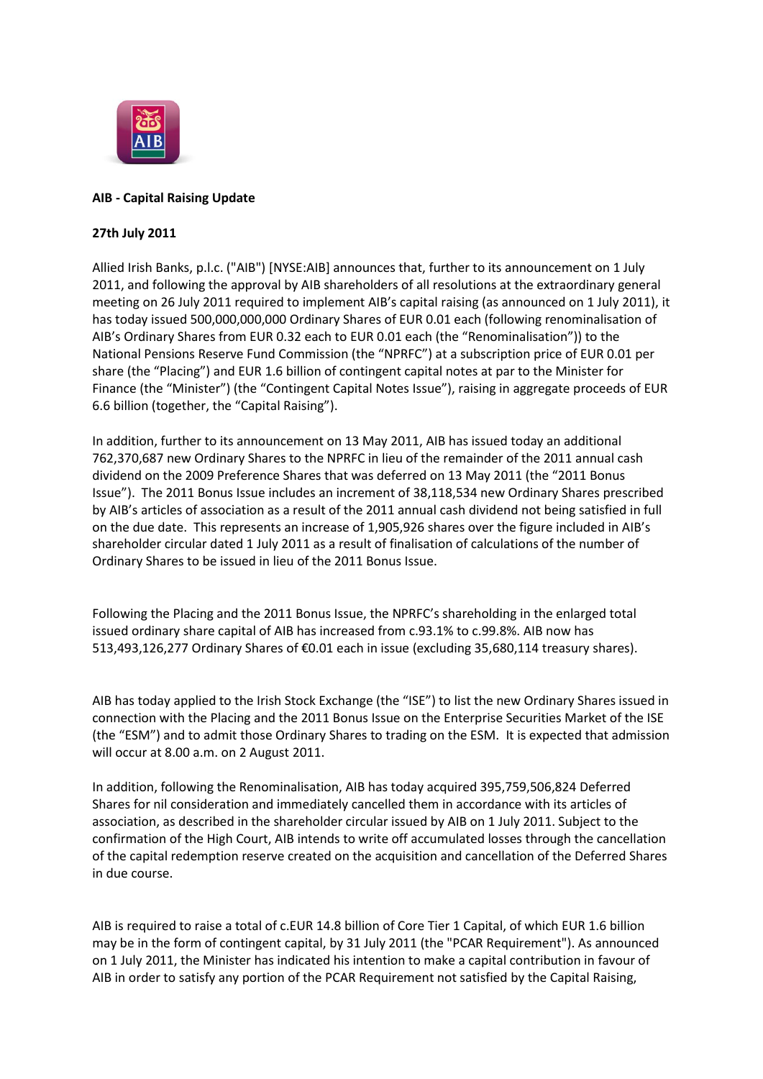

## **AIB - Capital Raising Update**

## **27th July 2011**

Allied Irish Banks, p.l.c. ("AIB") [NYSE:AIB] announces that, further to its announcement on 1 July 2011, and following the approval by AIB shareholders of all resolutions at the extraordinary general meeting on 26 July 2011 required to implement AIB's capital raising (as announced on 1 July 2011), it has today issued 500,000,000,000 Ordinary Shares of EUR 0.01 each (following renominalisation of AIB's Ordinary Shares from EUR 0.32 each to EUR 0.01 each (the "Renominalisation")) to the National Pensions Reserve Fund Commission (the "NPRFC") at a subscription price of EUR 0.01 per share (the "Placing") and EUR 1.6 billion of contingent capital notes at par to the Minister for Finance (the "Minister") (the "Contingent Capital Notes Issue"), raising in aggregate proceeds of EUR 6.6 billion (together, the "Capital Raising").

In addition, further to its announcement on 13 May 2011, AIB has issued today an additional 762,370,687 new Ordinary Shares to the NPRFC in lieu of the remainder of the 2011 annual cash dividend on the 2009 Preference Shares that was deferred on 13 May 2011 (the "2011 Bonus Issue"). The 2011 Bonus Issue includes an increment of 38,118,534 new Ordinary Shares prescribed by AIB's articles of association as a result of the 2011 annual cash dividend not being satisfied in full on the due date. This represents an increase of 1,905,926 shares over the figure included in AIB's shareholder circular dated 1 July 2011 as a result of finalisation of calculations of the number of Ordinary Shares to be issued in lieu of the 2011 Bonus Issue.

Following the Placing and the 2011 Bonus Issue, the NPRFC's shareholding in the enlarged total issued ordinary share capital of AIB has increased from c.93.1% to c.99.8%. AIB now has 513,493,126,277 Ordinary Shares of €0.01 each in issue (excluding 35,680,114 treasury shares).

AIB has today applied to the Irish Stock Exchange (the "ISE") to list the new Ordinary Shares issued in connection with the Placing and the 2011 Bonus Issue on the Enterprise Securities Market of the ISE (the "ESM") and to admit those Ordinary Shares to trading on the ESM. It is expected that admission will occur at 8.00 a.m. on 2 August 2011.

In addition, following the Renominalisation, AIB has today acquired 395,759,506,824 Deferred Shares for nil consideration and immediately cancelled them in accordance with its articles of association, as described in the shareholder circular issued by AIB on 1 July 2011. Subject to the confirmation of the High Court, AIB intends to write off accumulated losses through the cancellation of the capital redemption reserve created on the acquisition and cancellation of the Deferred Shares in due course.

AIB is required to raise a total of c.EUR 14.8 billion of Core Tier 1 Capital, of which EUR 1.6 billion may be in the form of contingent capital, by 31 July 2011 (the "PCAR Requirement"). As announced on 1 July 2011, the Minister has indicated his intention to make a capital contribution in favour of AIB in order to satisfy any portion of the PCAR Requirement not satisfied by the Capital Raising,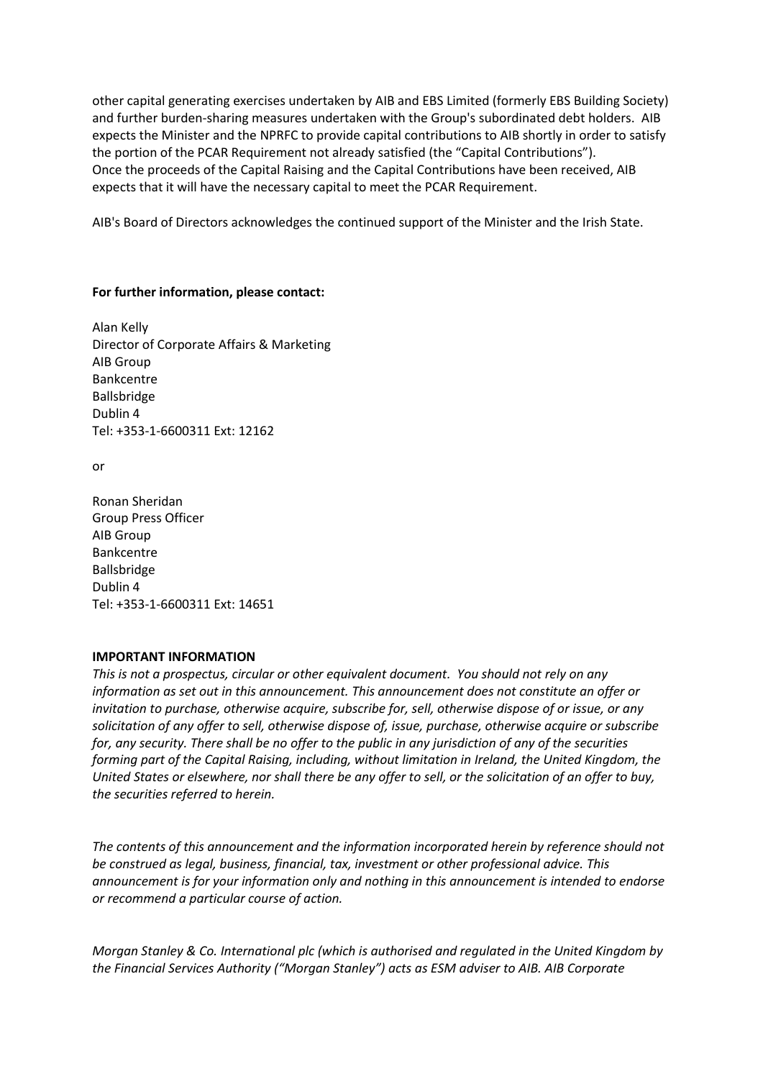other capital generating exercises undertaken by AIB and EBS Limited (formerly EBS Building Society) and further burden-sharing measures undertaken with the Group's subordinated debt holders. AIB expects the Minister and the NPRFC to provide capital contributions to AIB shortly in order to satisfy the portion of the PCAR Requirement not already satisfied (the "Capital Contributions"). Once the proceeds of the Capital Raising and the Capital Contributions have been received, AIB expects that it will have the necessary capital to meet the PCAR Requirement.

AIB's Board of Directors acknowledges the continued support of the Minister and the Irish State.

## **For further information, please contact:**

Alan Kelly Director of Corporate Affairs & Marketing AIB Group Bankcentre Ballsbridge Dublin 4 Tel: +353-1-6600311 Ext: 12162

or

Ronan Sheridan Group Press Officer AIB Group Bankcentre Ballsbridge Dublin 4 Tel: +353-1-6600311 Ext: 14651

## **IMPORTANT INFORMATION**

*This is not a prospectus, circular or other equivalent document. You should not rely on any information as set out in this announcement. This announcement does not constitute an offer or invitation to purchase, otherwise acquire, subscribe for, sell, otherwise dispose of or issue, or any solicitation of any offer to sell, otherwise dispose of, issue, purchase, otherwise acquire or subscribe for, any security. There shall be no offer to the public in any jurisdiction of any of the securities forming part of the Capital Raising, including, without limitation in Ireland, the United Kingdom, the United States or elsewhere, nor shall there be any offer to sell, or the solicitation of an offer to buy, the securities referred to herein.*

*The contents of this announcement and the information incorporated herein by reference should not be construed as legal, business, financial, tax, investment or other professional advice. This announcement is for your information only and nothing in this announcement is intended to endorse or recommend a particular course of action.*

*Morgan Stanley & Co. International plc (which is authorised and regulated in the United Kingdom by the Financial Services Authority ("Morgan Stanley") acts as ESM adviser to AIB. AIB Corporate*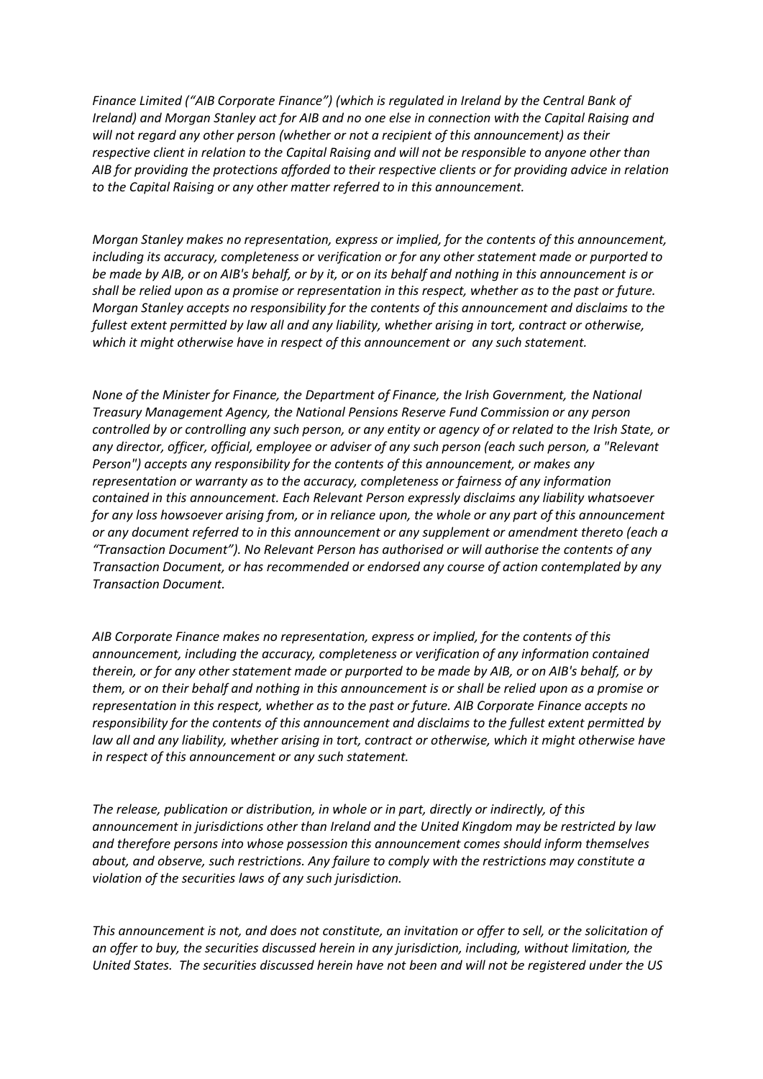*Finance Limited ("AIB Corporate Finance") (which is regulated in Ireland by the Central Bank of Ireland) and Morgan Stanley act for AIB and no one else in connection with the Capital Raising and will not regard any other person (whether or not a recipient of this announcement) as their respective client in relation to the Capital Raising and will not be responsible to anyone other than AIB for providing the protections afforded to their respective clients or for providing advice in relation to the Capital Raising or any other matter referred to in this announcement.*

*Morgan Stanley makes no representation, express or implied, for the contents of this announcement, including its accuracy, completeness or verification or for any other statement made or purported to be made by AIB, or on AIB's behalf, or by it, or on its behalf and nothing in this announcement is or shall be relied upon as a promise or representation in this respect, whether as to the past or future. Morgan Stanley accepts no responsibility for the contents of this announcement and disclaims to the fullest extent permitted by law all and any liability, whether arising in tort, contract or otherwise, which it might otherwise have in respect of this announcement or any such statement.*

*None of the Minister for Finance, the Department of Finance, the Irish Government, the National Treasury Management Agency, the National Pensions Reserve Fund Commission or any person controlled by or controlling any such person, or any entity or agency of or related to the Irish State, or any director, officer, official, employee or adviser of any such person (each such person, a "Relevant Person") accepts any responsibility for the contents of this announcement, or makes any representation or warranty as to the accuracy, completeness or fairness of any information contained in this announcement. Each Relevant Person expressly disclaims any liability whatsoever for any loss howsoever arising from, or in reliance upon, the whole or any part of this announcement or any document referred to in this announcement or any supplement or amendment thereto (each a "Transaction Document"). No Relevant Person has authorised or will authorise the contents of any Transaction Document, or has recommended or endorsed any course of action contemplated by any Transaction Document.*

*AIB Corporate Finance makes no representation, express or implied, for the contents of this announcement, including the accuracy, completeness or verification of any information contained therein, or for any other statement made or purported to be made by AIB, or on AIB's behalf, or by them, or on their behalf and nothing in this announcement is or shall be relied upon as a promise or representation in this respect, whether as to the past or future. AIB Corporate Finance accepts no responsibility for the contents of this announcement and disclaims to the fullest extent permitted by law all and any liability, whether arising in tort, contract or otherwise, which it might otherwise have in respect of this announcement or any such statement.*

*The release, publication or distribution, in whole or in part, directly or indirectly, of this announcement in jurisdictions other than Ireland and the United Kingdom may be restricted by law and therefore persons into whose possession this announcement comes should inform themselves about, and observe, such restrictions. Any failure to comply with the restrictions may constitute a violation of the securities laws of any such jurisdiction.*

*This announcement is not, and does not constitute, an invitation or offer to sell, or the solicitation of an offer to buy, the securities discussed herein in any jurisdiction, including, without limitation, the United States. The securities discussed herein have not been and will not be registered under the US*